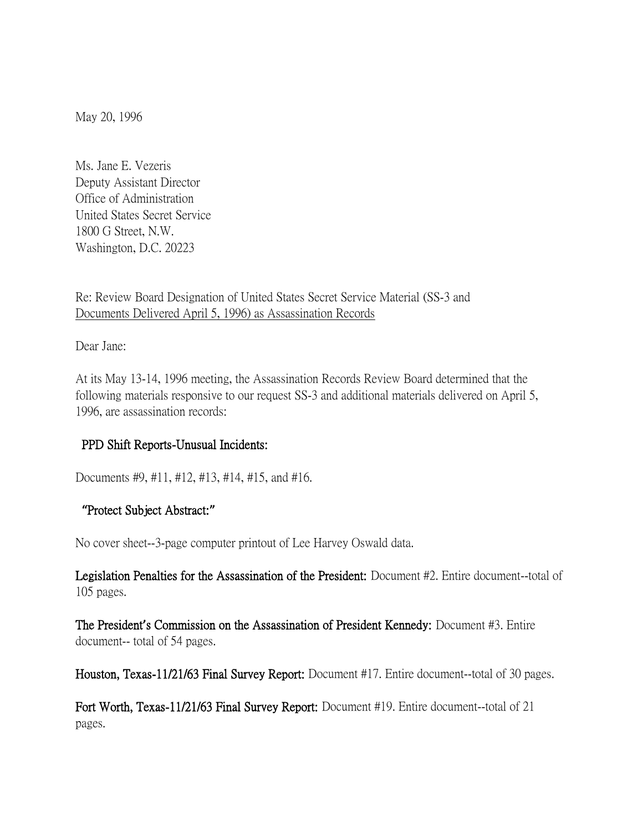May 20, 1996

Ms. Jane E. Vezeris Deputy Assistant Director Office of Administration United States Secret Service 1800 G Street, N.W. Washington, D.C. 20223

Re: Review Board Designation of United States Secret Service Material (SS-3 and Documents Delivered April 5, 1996) as Assassination Records

Dear Jane:

At its May 13-14, 1996 meeting, the Assassination Records Review Board determined that the following materials responsive to our request SS-3 and additional materials delivered on April 5, 1996, are assassination records:

## PPD Shift Reports-Unusual Incidents:

Documents #9, #11, #12, #13, #14, #15, and #16.

## **"**Protect Subject Abstract:**"**

No cover sheet--3-page computer printout of Lee Harvey Oswald data.

Legislation Penalties for the Assassination of the President: Document #2. Entire document--total of 105 pages.

The President**'**s Commission on the Assassination of President Kennedy: Document #3. Entire document-- total of 54 pages.

Houston, Texas-11/21/63 Final Survey Report: Document #17. Entire document--total of 30 pages.

Fort Worth, Texas-11/21/63 Final Survey Report: Document #19. Entire document--total of 21 pages.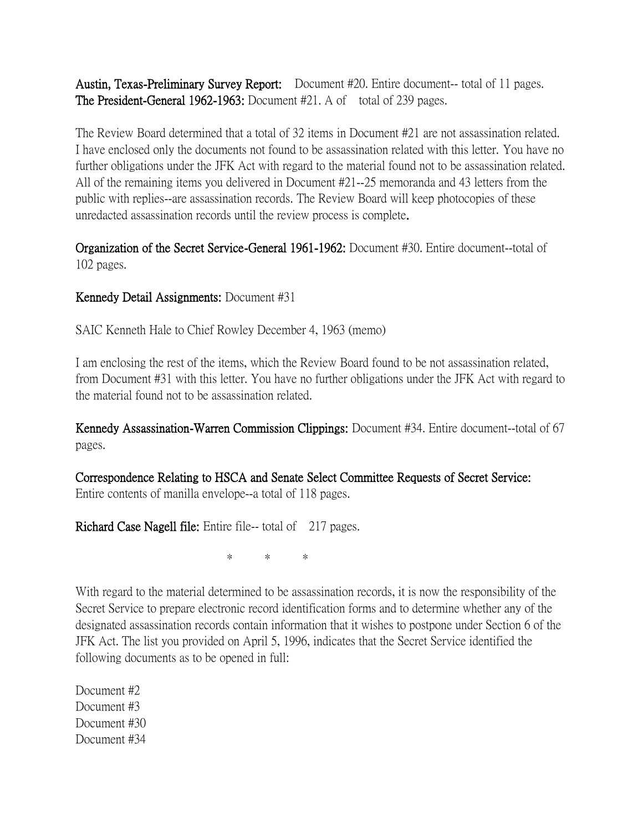Austin, Texas-Preliminary Survey Report: Document #20. Entire document-- total of 11 pages. The President-General 1962-1963: Document #21. A of total of 239 pages.

The Review Board determined that a total of 32 items in Document #21 are not assassination related. I have enclosed only the documents not found to be assassination related with this letter. You have no further obligations under the JFK Act with regard to the material found not to be assassination related. All of the remaining items you delivered in Document #21--25 memoranda and 43 letters from the public with replies--are assassination records. The Review Board will keep photocopies of these unredacted assassination records until the review process is complete.

Organization of the Secret Service-General 1961-1962: Document #30. Entire document--total of 102 pages.

## Kennedy Detail Assignments: Document #31

SAIC Kenneth Hale to Chief Rowley December 4, 1963 (memo)

I am enclosing the rest of the items, which the Review Board found to be not assassination related, from Document #31 with this letter. You have no further obligations under the JFK Act with regard to the material found not to be assassination related.

Kennedy Assassination-Warren Commission Clippings: Document #34. Entire document-total of 67 pages.

Correspondence Relating to HSCA and Senate Select Committee Requests of Secret Service: Entire contents of manilla envelope--a total of 118 pages.

Richard Case Nagell file: Entire file-- total of 217 pages.

\* \* \*

With regard to the material determined to be assassination records, it is now the responsibility of the Secret Service to prepare electronic record identification forms and to determine whether any of the designated assassination records contain information that it wishes to postpone under Section 6 of the JFK Act. The list you provided on April 5, 1996, indicates that the Secret Service identified the following documents as to be opened in full:

Document #2 Document #3 Document #30 Document #34